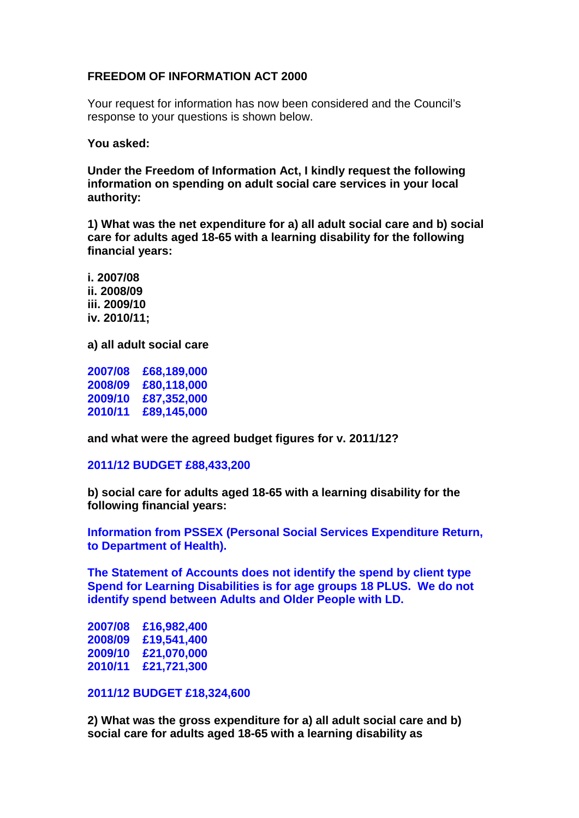## **FREEDOM OF INFORMATION ACT 2000**

Your request for information has now been considered and the Council's response to your questions is shown below.

**You asked:**

**Under the Freedom of Information Act, I kindly request the following information on spending on adult social care services in your local authority:**

**1) What was the net expenditure for a) all adult social care and b) social care for adults aged 18-65 with a learning disability for the following financial years:**

**i. 2007/08 ii. 2008/09 iii. 2009/10 iv. 2010/11;**

**a) all adult social care** 

**2007/08 £68,189,000 2008/09 £80,118,000 2009/10 £87,352,000 2010/11 £89,145,000**

**and what were the agreed budget figures for v. 2011/12?**

## **2011/12 BUDGET £88,433,200**

**b) social care for adults aged 18-65 with a learning disability for the following financial years:**

**Information from PSSEX (Personal Social Services Expenditure Return, to Department of Health).**

**The Statement of Accounts does not identify the spend by client type Spend for Learning Disabilities is for age groups 18 PLUS. We do not identify spend between Adults and Older People with LD.**

**2007/08 £16,982,400 2008/09 £19,541,400 2009/10 £21,070,000 2010/11 £21,721,300**

## **2011/12 BUDGET £18,324,600**

**2) What was the gross expenditure for a) all adult social care and b) social care for adults aged 18-65 with a learning disability as**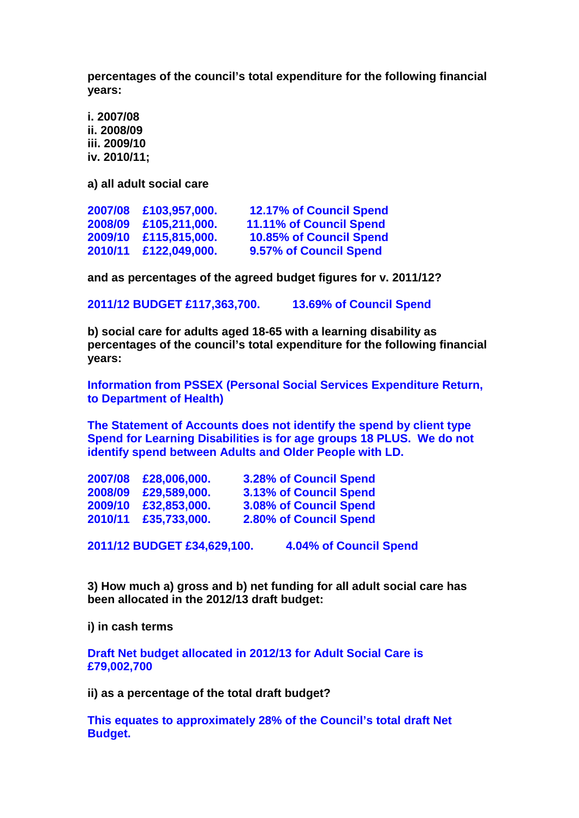**percentages of the council's total expenditure for the following financial years:**

**i. 2007/08 ii. 2008/09 iii. 2009/10 iv. 2010/11;**

**a) all adult social care**

| £103,957,000. | <b>12.17% of Council Spend</b> |
|---------------|--------------------------------|
| £105,211,000. | <b>11.11% of Council Spend</b> |
| £115,815,000. | <b>10.85% of Council Spend</b> |
|               | 9.57% of Council Spend         |
|               | 2010/11 £122,049,000.          |

**and as percentages of the agreed budget figures for v. 2011/12?**

**2011/12 BUDGET £117,363,700. 13.69% of Council Spend**

**b) social care for adults aged 18-65 with a learning disability as percentages of the council's total expenditure for the following financial years:**

**Information from PSSEX (Personal Social Services Expenditure Return, to Department of Health)**

**The Statement of Accounts does not identify the spend by client type Spend for Learning Disabilities is for age groups 18 PLUS. We do not identify spend between Adults and Older People with LD.**

| 2007/08 | £28,006,000. | <b>3.28% of Council Spend</b> |
|---------|--------------|-------------------------------|
| 2008/09 | £29,589,000. | <b>3.13% of Council Spend</b> |
| 2009/10 | £32,853,000. | <b>3.08% of Council Spend</b> |
| 2010/11 | £35,733,000. | 2.80% of Council Spend        |
|         |              |                               |

**2011/12 BUDGET £34,629,100. 4.04% of Council Spend**

**3) How much a) gross and b) net funding for all adult social care has been allocated in the 2012/13 draft budget:**

**i) in cash terms**

**Draft Net budget allocated in 2012/13 for Adult Social Care is £79,002,700**

**ii) as a percentage of the total draft budget?**

**This equates to approximately 28% of the Council's total draft Net Budget.**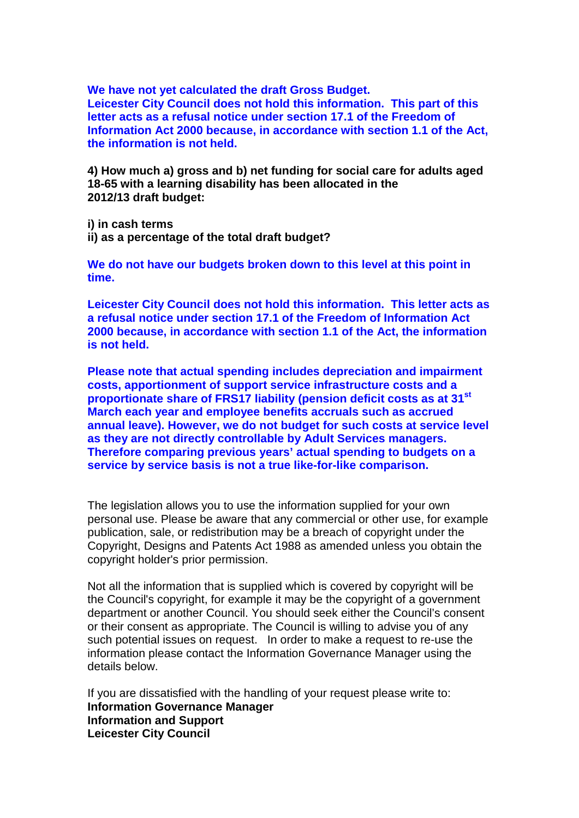**We have not yet calculated the draft Gross Budget. Leicester City Council does not hold this information. This part of this letter acts as a refusal notice under section 17.1 of the Freedom of Information Act 2000 because, in accordance with section 1.1 of the Act, the information is not held.**

**4) How much a) gross and b) net funding for social care for adults aged 18-65 with a learning disability has been allocated in the 2012/13 draft budget:**

**i) in cash terms ii) as a percentage of the total draft budget?**

**We do not have our budgets broken down to this level at this point in time.**

**Leicester City Council does not hold this information. This letter acts as a refusal notice under section 17.1 of the Freedom of Information Act 2000 because, in accordance with section 1.1 of the Act, the information is not held.**

**Please note that actual spending includes depreciation and impairment costs, apportionment of support service infrastructure costs and a proportionate share of FRS17 liability (pension deficit costs as at 31st March each year and employee benefits accruals such as accrued annual leave). However, we do not budget for such costs at service level as they are not directly controllable by Adult Services managers. Therefore comparing previous years' actual spending to budgets on a service by service basis is not a true like-for-like comparison.**

The legislation allows you to use the information supplied for your own personal use. Please be aware that any commercial or other use, for example publication, sale, or redistribution may be a breach of copyright under the Copyright, Designs and Patents Act 1988 as amended unless you obtain the copyright holder's prior permission.

Not all the information that is supplied which is covered by copyright will be the Council's copyright, for example it may be the copyright of a government department or another Council. You should seek either the Council's consent or their consent as appropriate. The Council is willing to advise you of any such potential issues on request. In order to make a request to re-use the information please contact the Information Governance Manager using the details below.

If you are dissatisfied with the handling of your request please write to: **Information Governance Manager Information and Support Leicester City Council**